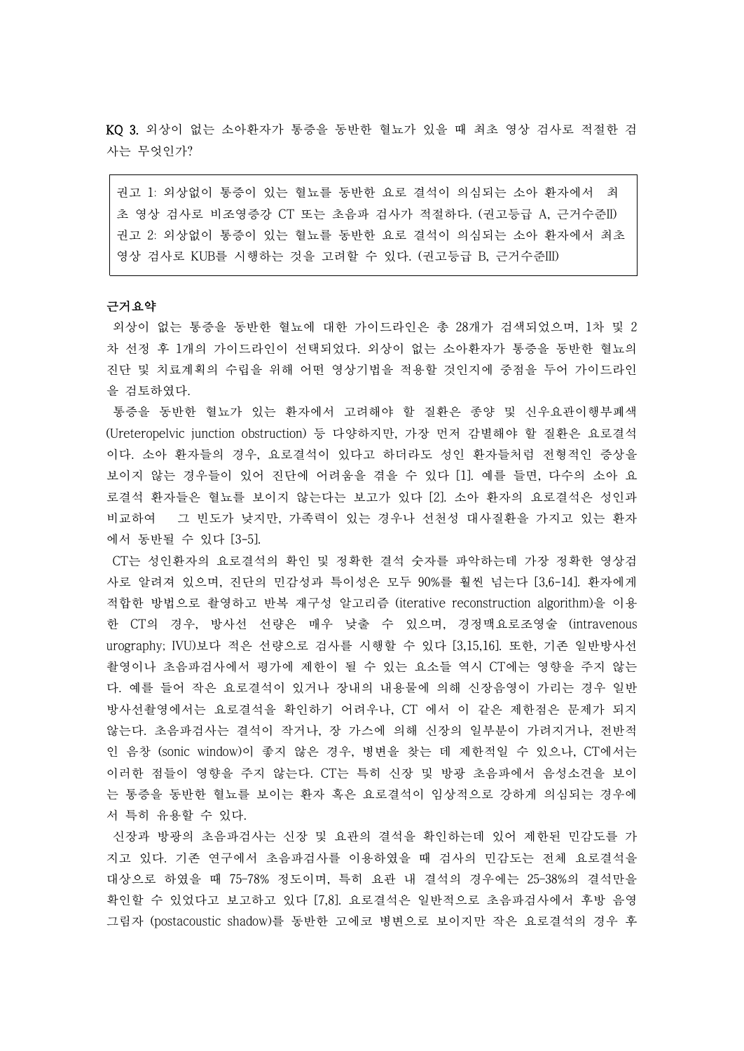KQ 3. 외상이 없는 소아환자가 통증을 동반한 혈뇨가 있을 때 최초 영상 검사로 적절한 검 사는 무엇인가?

권고 1: 외상없이 통증이 있는 혈뇨를 동반한 요로 결석이 의심되는 소아 환자에서 최 초 영상 검사로 비조영증강 CT 또는 초음파 검사가 적절하다. (권고등급 A, 근거수준II) 권고 2: 외상없이 통증이 있는 혈뇨를 동반한 요로 결석이 의심되는 소아 환자에서 최초 영상 검사로 KUB를 시행하는 것을 고려할 수 있다. (권고등급 B, 근거수준III)

# 근거요약

외상이 없는 통증을 동반한 혈뇨에 대한 가이드라인은 총 28개가 검색되었으며, 1차 및 2 차 선정 후 1개의 가이드라인이 선택되었다. 외상이 없는 소아환자가 통증을 동반한 혈뇨의 진단 및 치료계획의 수립을 위해 어떤 영상기법을 적용할 것인지에 중점을 두어 가이드라인

을 검토하였다.<br>- 통증을 동반한 혈뇨가 있는 환자에서 고려해야 할 질환은 종양 및 신우요관이행부폐색 (Ureteropelvic junction obstruction) 등 다양하지만, 가장 먼저 감별해야 할 질환은 요로결석 이다. 소아 환자들의 경우, 요로결석이 있다고 하더라도 성인 환자들처럼 전형적인 증상을 보이지 않는 경우들이 있어 진단에 어려움을 겪을 수 있다 [1]. 예를 들면, 다수의 소아 요 로결석 환자들은 혈뇨를 보이지 않는다는 보고가 있다 [2]. 소아 환자의 요로결석은 성인과 비교하여 그 빈도가 낮지만, 가족력이 있는 경우나 선천성 대사질환을 가지고 있는 환자 에서 동반될 수 있다 [3-5].

CT는 성인환자의 요로결석의 확인 및 정확한 결석 숫자를 파악하는데 가장 정확한 영상검 사로 알려져 있으며, 진단의 민감성과 특이성은 모두 90%를 훨씬 넘는다 [3,6-14]. 환자에게 적합한 방법으로 촬영하고 반복 재구성 알고리즘 (iterative reconstruction algorithm)을 이용 한 CT의 경우, 방사선 선량은 매우 낮출 수 있으며, 경정맥요로조영술 (intravenous urography; IVU)보다 적은 선량으로 검사를 시행할 수 있다 [3,15,16]. 또한, 기존 일반방사선 촬영이나 초음파검사에서 평가에 제한이 될 수 있는 요소들 역시 CT에는 영향을 주지 않는 다. 예를 들어 작은 요로결석이 있거나 장내의 내용물에 의해 신장음영이 가리는 경우 일반 방사선촬영에서는 요로결석을 확인하기 어려우나, CT 에서 이 같은 제한점은 문제가 되지 않는다. 초음파검사는 결석이 작거나, 장 가스에 의해 신장의 일부분이 가려지거나, 전반적 인 음창 (sonic window)이 좋지 않은 경우, 병변을 찾는 데 제한적일 수 있으나, CT에서는 이러한 점들이 영향을 주지 않는다. CT는 특히 신장 및 방광 초음파에서 음성소견을 보이 는 통증을 동반한 혈뇨를 보이는 환자 혹은 요로결석이 임상적으로 강하게 의심되는 경우에 서 특히 유용할 수 있다.<br>-<br>신장과 방광의 초음파검사는 신장 및 요관의 결석을 확인하는데 있어 제한된 민감도를 가

지고 있다. 기존 연구에서 초음파검사를 이용하였을 때 검사의 민감도는 전체 요로결석을 대상으로 하였을 때 75–78% 정도이며, 특히 요관 내 결석의 경우에는 25–38%의 결석만을 확인할 수 있었다고 보고하고 있다 [7,8]. 요로결석은 일반적으로 초음파검사에서 후방 음영 그림자 (postacoustic shadow)를 동반한 고에코 병변으로 보이지만 작은 요로결석의 경우 후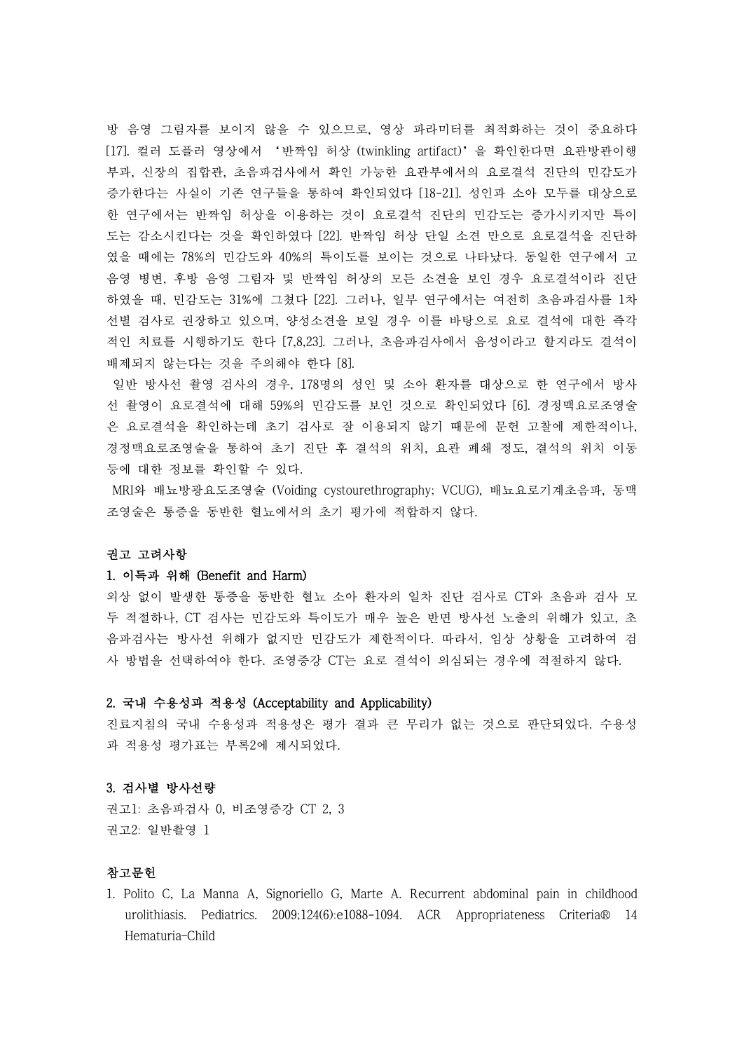방 음영 그림자를 보이지 않을 수 있으므로, 영상 파라미터를 최적화하는 것이 중요하다 [17]. 컬러 도플러 영상에서 '반짝임 허상 (twinkling artifact)'을 확인한다면 요관방관이행 부과, 신장의 집합관, 초음파검사에서 확인 가능한 요관부에서의 요로결석 진단의 민감도가 증가한다는 사실이 기존 연구들을 통하여 확인되었다 [18-21]. 성인과 소아 모두를 대상으로 한 연구에서는 반짝임 허상을 이용하는 것이 요로결석 진단의 민감도는 증가시키지만 특이 도는 감소시킨다는 것을 확인하였다 [22]. 반짝임 허상 단일 소견 만으로 요로결석을 진단하 였을 때에는 78%의 민감도와 40%의 특이도를 보이는 것으로 나타났다. 동일한 연구에서 고 음영 병변, 후방 음영 그림자 및 반짝임 허상의 모든 소견을 보인 경우 요로결석이라 진단 하였을 때, 민감도는 31%에 그쳤다 [22]. 그러나, 일부 연구에서는 여전히 초음파검사를 1차 선별 검사로 권장하고 있으며, 양성소견을 보일 경우 이를 바탕으로 요로 결석에 대한 즉각 적인 치료를 시행하기도 한다 [7,8,23]. 그러나, 초음파검사에서 음성이라고 할지라도 결석이 배제되지 않는다는 것을 주의해야 한다 [8].

일반 방사선 촬영 검사의 경우, 178명의 성인 및 소아 환자를 대상으로 한 연구에서 방사 선 촬영이 요로결석에 대해 59%의 민감도를 보인 것으로 확인되었다 [6]. 경정맥요로조영술 은 요로결석을 확인하는데 초기 검사로 잘 이용되지 않기 때문에 문헌 고찰에 제한적이나,<br>경정맥요로조영술을 통하여 초기 진단 후 결석의 위치, 요관 폐쇄 정도, 결석의 위치 이동 등에 대한 정보를 확인할 수 있다.<br>-<br>MRI와 배뇨방광요도조영술 (Voiding cystourethrography; VCUG), 배뇨요로기계초음파, 동맥

조영술은 통증을 동반한 혈뇨에서의 초기 평가에 적합하지 않다.

## 권고 고려사항

#### 1. 이득과 위해 (Benefit and Harm)

외상 없이 발생한 통증을 동반한 혈뇨 소아 환자의 일차 진단 검사로 CT와 초음파 검사 모 두 적절하나, CT 검사는 민감도와 특이도가 매우 높은 반면 방사선 노출의 위해가 있고, 초 음파검사는 방사선 위해가 없지만 민감도가 제한적이다. 따라서, 임상 상황을 고려하여 검 사 방법을 선택하여야 한다. 조영증강 CT는 요로 결석이 의심되는 경우에 적절하지 않다.

## 2. 국내 수용성과 적용성 (Acceptability and Applicability)

진료지침의 국내 수용성과 적용성은 평가 결과 큰 무리가 없는 것으로 판단되었다. 수용성 과 적용성 평가표는 부록2에 제시되었다.

#### 3. 검사별 방사선량

권고1: 초음파검사 0, 비조영증강 CT 2, 3 권고2: 일반촬영 1

## 참고문헌

1. Polito C, La Manna A, Signoriello G, Marte A. Recurrent abdominal pain in childhood urolithiasis. Pediatrics. 2009;124(6):e1088-1094. ACR Appropriateness Criteria® 14 Hematuria–Child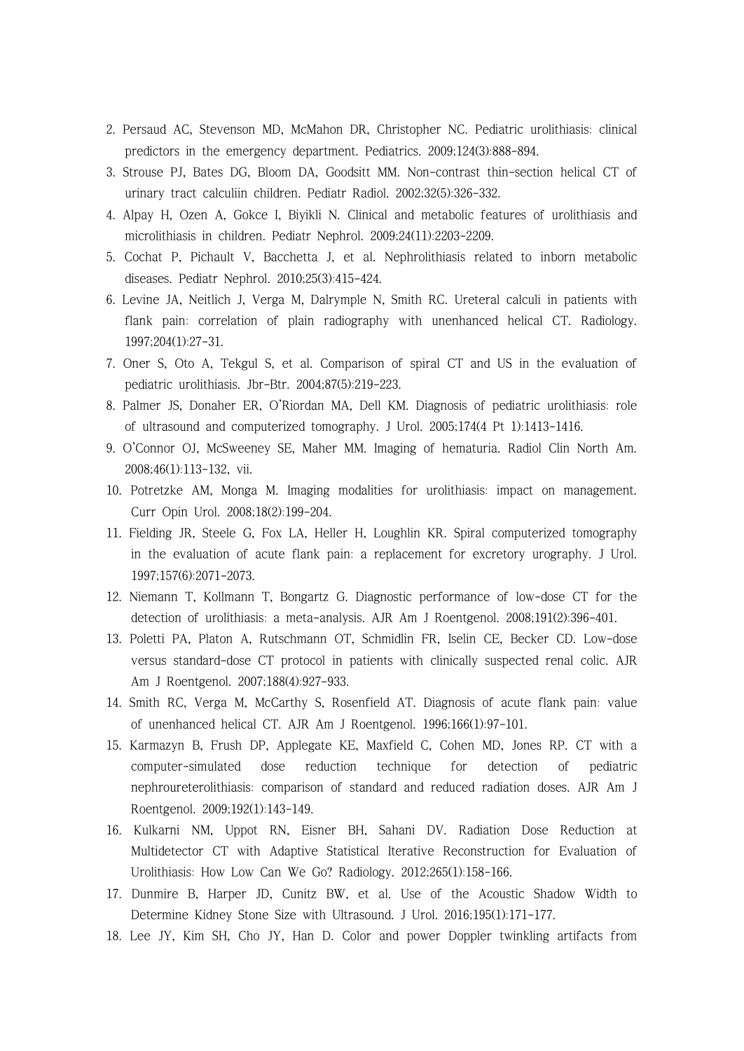- 2. Persaud AC, Stevenson MD, McMahon DR, Christopher NC. Pediatric urolithiasis: clinical predictors in the emergency department. Pediatrics. 2009;124(3):888-894.
- 3. Strouse PJ, Bates DG, Bloom DA, Goodsitt MM. Non-contrast thin-section helical CT of urinary tract calculiin children. Pediatr Radiol. 2002;32(5):326-332.
- 4. Alpay H, Ozen A, Gokce I, Biyikli N. Clinical and metabolic features of urolithiasis and microlithiasis in children. Pediatr Nephrol. 2009;24(11):2203-2209.
- 5. Cochat P, Pichault V, Bacchetta J, et al. Nephrolithiasis related to inborn metabolic diseases. Pediatr Nephrol. 2010;25(3):415-424.
- 6. Levine JA, Neitlich J, Verga M, Dalrymple N, Smith RC. Ureteral calculi in patients with flank pain: correlation of plain radiography with unenhanced helical CT. Radiology. 1997;204(1):27-31.
- 7. Oner S, Oto A, Tekgul S, et al. Comparison of spiral CT and US in the evaluation of pediatric urolithiasis. Jbr-Btr. 2004;87(5):219-223.
- 8. Palmer JS, Donaher ER, O'Riordan MA, Dell KM. Diagnosis of pediatric urolithiasis: role of ultrasound and computerized tomography. J Urol. 2005;174(4 Pt 1):1413-1416.
- 9. O'Connor OJ, McSweeney SE, Maher MM. Imaging of hematuria. Radiol Clin North Am. 2008;46(1):113-132, vii.
- 10. Potretzke AM, Monga M. Imaging modalities for urolithiasis: impact on management. Curr Opin Urol. 2008;18(2):199-204.
- 11. Fielding JR, Steele G, Fox LA, Heller H, Loughlin KR. Spiral computerized tomography in the evaluation of acute flank pain: a replacement for excretory urography. J Urol. 1997;157(6):2071-2073.
- 12. Niemann T, Kollmann T, Bongartz G. Diagnostic performance of low-dose CT for the detection of urolithiasis: a meta-analysis. AJR Am J Roentgenol. 2008;191(2):396-401.
- 13. Poletti PA, Platon A, Rutschmann OT, Schmidlin FR, Iselin CE, Becker CD. Low-dose versus standard-dose CT protocol in patients with clinically suspected renal colic. AJR Am J Roentgenol. 2007;188(4):927-933.
- 14. Smith RC, Verga M, McCarthy S, Rosenfield AT. Diagnosis of acute flank pain: value of unenhanced helical CT. AJR Am J Roentgenol. 1996;166(1):97-101.
- 15. Karmazyn B, Frush DP, Applegate KE, Maxfield C, Cohen MD, Jones RP. CT with a computer-simulated dose reduction technique for detection of pediatric nephroureterolithiasis: comparison of standard and reduced radiation doses. AJR Am J Roentgenol. 2009;192(1):143-149.
- 16. Kulkarni NM, Uppot RN, Eisner BH, Sahani DV. Radiation Dose Reduction at Multidetector CT with Adaptive Statistical Iterative Reconstruction for Evaluation of Urolithiasis: How Low Can We Go? Radiology. 2012;265(1):158-166.
- 17. Dunmire B, Harper JD, Cunitz BW, et al. Use of the Acoustic Shadow Width to Determine Kidney Stone Size with Ultrasound. J Urol. 2016;195(1):171-177.
- 18. Lee JY, Kim SH, Cho JY, Han D. Color and power Doppler twinkling artifacts from